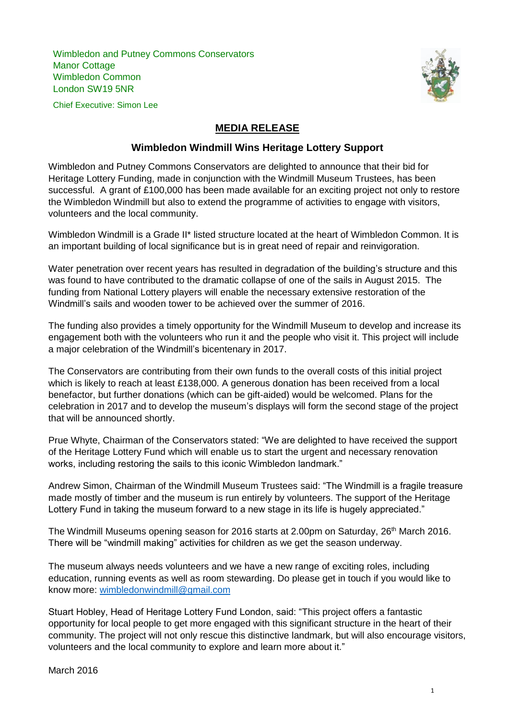Wimbledon and Putney Commons Conservators Manor Cottage Wimbledon Common London SW19 5NR



Chief Executive: Simon Lee

## **MEDIA RELEASE**

## **Wimbledon Windmill Wins Heritage Lottery Support**

Wimbledon and Putney Commons Conservators are delighted to announce that their bid for Heritage Lottery Funding, made in conjunction with the Windmill Museum Trustees, has been successful. A grant of £100,000 has been made available for an exciting project not only to restore the Wimbledon Windmill but also to extend the programme of activities to engage with visitors, volunteers and the local community.

Wimbledon Windmill is a Grade II\* listed structure located at the heart of Wimbledon Common. It is an important building of local significance but is in great need of repair and reinvigoration.

Water penetration over recent years has resulted in degradation of the building's structure and this was found to have contributed to the dramatic collapse of one of the sails in August 2015. The funding from National Lottery players will enable the necessary extensive restoration of the Windmill's sails and wooden tower to be achieved over the summer of 2016.

The funding also provides a timely opportunity for the Windmill Museum to develop and increase its engagement both with the volunteers who run it and the people who visit it. This project will include a major celebration of the Windmill's bicentenary in 2017.

The Conservators are contributing from their own funds to the overall costs of this initial project which is likely to reach at least £138,000. A generous donation has been received from a local benefactor, but further donations (which can be gift-aided) would be welcomed. Plans for the celebration in 2017 and to develop the museum's displays will form the second stage of the project that will be announced shortly.

Prue Whyte, Chairman of the Conservators stated: "We are delighted to have received the support of the Heritage Lottery Fund which will enable us to start the urgent and necessary renovation works, including restoring the sails to this iconic Wimbledon landmark."

Andrew Simon, Chairman of the Windmill Museum Trustees said: "The Windmill is a fragile treasure made mostly of timber and the museum is run entirely by volunteers. The support of the Heritage Lottery Fund in taking the museum forward to a new stage in its life is hugely appreciated."

The Windmill Museums opening season for 2016 starts at 2.00pm on Saturday, 26<sup>th</sup> March 2016. There will be "windmill making" activities for children as we get the season underway.

The museum always needs volunteers and we have a new range of exciting roles, including education, running events as well as room stewarding. Do please get in touch if you would like to know more: [wimbledonwindmill@gmail.com](mailto:wimbledonwindmill@gmail.com)

Stuart Hobley, Head of Heritage Lottery Fund London, said: "This project offers a fantastic opportunity for local people to get more engaged with this significant structure in the heart of their community. The project will not only rescue this distinctive landmark, but will also encourage visitors, volunteers and the local community to explore and learn more about it."

March 2016